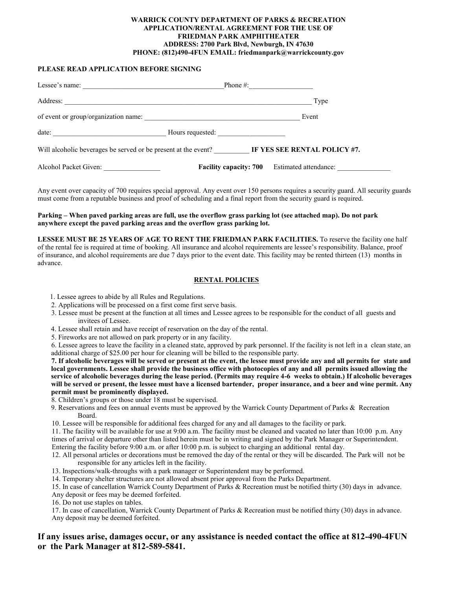#### **WARRICK COUNTY DEPARTMENT OF PARKS & RECREATION APPLICATION/RENTAL AGREEMENT FOR THE USE OF FRIEDMAN PARK AMPHITHEATER ADDRESS: 2700 Park Blvd, Newburgh, IN 47630 PHONE: (812)490-4FUN EMAIL: friedmanpark@warrickcounty.gov**

#### **PLEASE READ APPLICATION BEFORE SIGNING**

| Lessee's name: $\frac{1}{\sqrt{1-\frac{1}{2}} \cdot \frac{1}{2}}$ | Phone #: $\qquad \qquad$                               |
|-------------------------------------------------------------------|--------------------------------------------------------|
| Address:                                                          | Type                                                   |
| of event or group/organization name:                              | Event                                                  |
| date:<br><u> 1989 - Johann Barbara, martxa alemani</u> ar arte    | Hours requested:                                       |
| Will alcoholic beverages be served or be present at the event?    | IF YES SEE RENTAL POLICY #7.                           |
| Alcohol Packet Given:                                             | <b>Facility capacity: 700</b><br>Estimated attendance: |

Any event over capacity of 700 requires special approval. Any event over 150 persons requires a security guard. All security guards must come from a reputable business and proof of scheduling and a final report from the security guard is required.

#### **Parking – When paved parking areas are full, use the overflow grass parking lot (see attached map). Do not park anywhere except the paved parking areas and the overflow grass parking lot.**

**LESSEE MUST BE 25 YEARS OF AGE TO RENT THE FRIEDMAN PARK FACILITIES.** To reserve the facility one half of the rental fee is required at time of booking. All insurance and alcohol requirements are lessee's responsibility. Balance, proof of insurance, and alcohol requirements are due 7 days prior to the event date. This facility may be rented thirteen (13) months in advance.

#### **RENTAL POLICIES**

- 1. Lessee agrees to abide by all Rules and Regulations.
- 2. Applications will be processed on a first come first serve basis.
- 3. Lessee must be present at the function at all times and Lessee agrees to be responsible for the conduct of all guests and invitees of Lessee.
- 4. Lessee shall retain and have receipt of reservation on the day of the rental.
- 5. Fireworks are not allowed on park property or in any facility.

6. Lessee agrees to leave the facility in a cleaned state, approved by park personnel. If the facility is not left in a clean state, an additional charge of \$25.00 per hour for cleaning will be billed to the responsible party.

**7. If alcoholic beverages will be served or present at the event, the lessee must provide any and all permits for state and local governments. Lessee shall provide the business office with photocopies of any and all permits issued allowing the service of alcoholic beverages during the lease period. (Permits may require 4-6 weeks to obtain.) If alcoholic beverages will be served or present, the lessee must have a licensed bartender, proper insurance, and a beer and wine permit. Any permit must be prominently displayed.**

- 8. Children's groups or those under 18 must be supervised.
- 9. Reservations and fees on annual events must be approved by the Warrick County Department of Parks & Recreation Board.
- 10. Lessee will be responsible for additional fees charged for any and all damages to the facility or park.

11. The facility will be available for use at 9:00 a.m. The facility must be cleaned and vacated no later than 10:00 p.m. Any times of arrival or departure other than listed herein must be in writing and signed by the Park Manager or Superintendent. Entering the facility before 9:00 a.m. or after 10:00 p.m. is subject to charging an additional rental day.

12. All personal articles or decorations must be removed the day of the rental or they will be discarded. The Park will not be responsible for any articles left in the facility.

- 13. Inspections/walk-throughs with a park manager or Superintendent may be performed.
- 14. Temporary shelter structures are not allowed absent prior approval from the Parks Department.
- 15. In case of cancellation Warrick County Department of Parks & Recreation must be notified thirty (30) days in advance.
- Any deposit or fees may be deemed forfeited.
- 16. Do not use staples on tables.

17. In case of cancellation, Warrick County Department of Parks & Recreation must be notified thirty (30) days in advance. Any deposit may be deemed forfeited.

## **If any issues arise, damages occur, or any assistance is needed contact the office at 812-490-4FUN or the Park Manager at 812-589-5841.**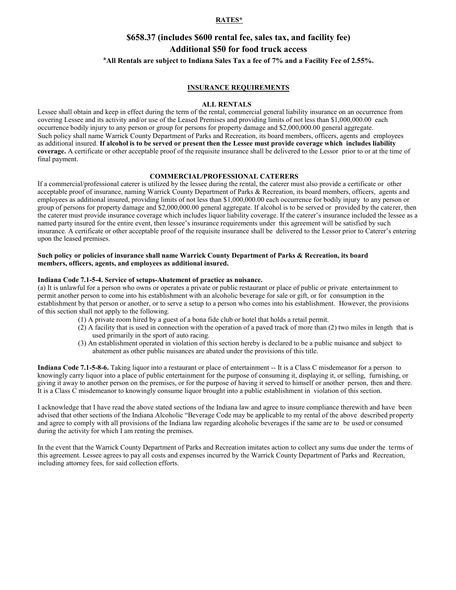#### **RATES\***

## **\$658.37 (includes \$600 rental fee, sales tax, and facility fee) Additional \$50 for food truck access** \***All Rentals are subject to Indiana Sales Tax a fee of 7% and a Facility Fee of 2.55%.**

#### **INSURANCE REQUIREMENTS**

#### **ALL RENTALS**

Lessee shall obtain and keep in effect during the term of the rental, commercial general liability insurance on an occurrence from covering Lessee and its activity and/or use of the Leased Premises and providing limits of not less than \$1,000,000.00 each occurrence bodily injury to any person or group for persons for property damage and \$2,000,000.00 general aggregate. Such policy shall name Warrick County Department of Parks and Recreation, its board members, officers, agents and employees as additional insured. **If alcohol is to be served or present then the Lessee must provide coverage which includes liability coverage.** A certificate or other acceptable proof of the requisite insurance shall be delivered to the Lessor prior to or at the time of final payment.

#### **COMMERCIAL/PROFESSIONAL CATERERS**

If a commercial/professional caterer is utilized by the lessee during the rental, the caterer must also provide a certificate or other acceptable proof of insurance, naming Warrick County Department of Parks & Recreation, its board members, officers, agents and employees as additional insured, providing limits of not less than \$1,000,000.00 each occurrence for bodily injury to any person or group of persons for property damage and \$2,000,000.00 general aggregate. If alcohol is to be served or provided by the caterer, then the caterer must provide insurance coverage which includes liquor liability coverage. If the caterer's insurance included the lessee as a named party insured for the entire event, then lessee's insurance requirements under this agreement will be satisfied by such insurance. A certificate or other acceptable proof of the requisite insurance shall be delivered to the Lessor prior to Caterer's entering upon the leased premises.

#### **Such policy or policies of insurance shall name Warrick County Department of Parks & Recreation, its board members, officers, agents, and employees as additional insured.**

#### **Indiana Code 7.1-5-4. Service of setups-Abatement of practice as nuisance.**

(a) It is unlawful for a person who owns or operates a private or public restaurant or place of public or private entertainment to permit another person to come into his establishment with an alcoholic beverage for sale or gift, or for consumption in the establishment by that person or another, or to serve a setup to a person who comes into his establishment. However, the provisions of this section shall not apply to the following.

- (1) A private room hired by a guest of a bona fide club or hotel that holds a retail permit.
- (2) A facility that is used in connection with the operation of a paved track of more than (2) two miles in length that is used primarily in the sport of auto racing.
- (3) An establishment operated in violation of this section hereby is declared to be a public nuisance and subject to abatement as other public nuisances are abated under the provisions of this title.

**Indiana Code 7.1-5-8-6.** Taking liquor into a restaurant or place of entertainment -- It is a Class C misdemeanor for a person to knowingly carry liquor into a place of public entertainment for the purpose of consuming it, displaying it, or selling, furnishing, or giving it away to another person on the premises, or for the purpose of having it served to himself or another person, then and there. It is a Class C misdemeanor to knowingly consume liquor brought into a public establishment in violation of this section.

I acknowledge that I have read the above stated sections of the Indiana law and agree to insure compliance therewith and have been advised that other sections of the Indiana Alcoholic "Beverage Code may be applicable to my rental of the above described property and agree to comply with all provisions of the Indiana law regarding alcoholic beverages if the same are to be used or consumed during the activity for which I am renting the premises.

In the event that the Warrick County Department of Parks and Recreation imitates action to collect any sums due under the terms of this agreement. Lessee agrees to pay all costs and expenses incurred by the Warrick County Department of Parks and Recreation, including attorney fees, for said collection efforts.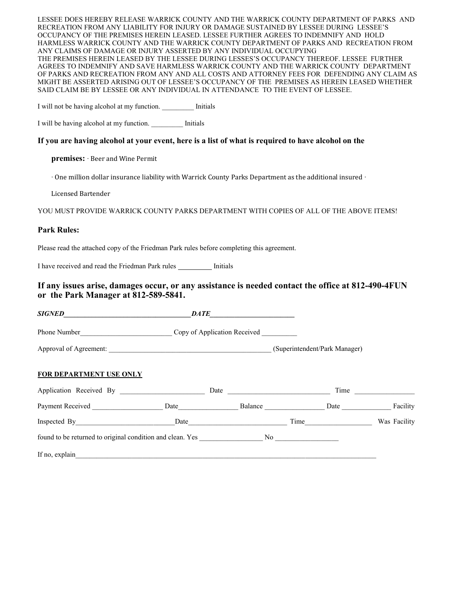LESSEE DOES HEREBY RELEASE WARRICK COUNTY AND THE WARRICK COUNTY DEPARTMENT OF PARKS AND RECREATION FROM ANY LIABILITY FOR INJURY OR DAMAGE SUSTAINED BY LESSEE DURING LESSEE'S OCCUPANCY OF THE PREMISES HEREIN LEASED. LESSEE FURTHER AGREES TO INDEMNIFY AND HOLD HARMLESS WARRICK COUNTY AND THE WARRICK COUNTY DEPARTMENT OF PARKS AND RECREATION FROM ANY CLAIMS OF DAMAGE OR INJURY ASSERTED BY ANY INDIVIDUAL OCCUPYING THE PREMISES HEREIN LEASED BY THE LESSEE DURING LESSES'S OCCUPANCY THEREOF. LESSEE FURTHER AGREES TO INDEMNIFY AND SAVE HARMLESS WARRICK COUNTY AND THE WARRICK COUNTY DEPARTMENT OF PARKS AND RECREATION FROM ANY AND ALL COSTS AND ATTORNEY FEES FOR DEFENDING ANY CLAIM AS MIGHT BE ASSERTED ARISING OUT OF LESSEE'S OCCUPANCY OF THE PREMISES AS HEREIN LEASED WHETHER SAID CLAIM BE BY LESSEE OR ANY INDIVIDUAL IN ATTENDANCE TO THE EVENT OF LESSEE.

I will not be having alcohol at my function. Initials

I will be having alcohol at my function. \_\_\_\_\_\_\_\_\_ Initials

## **If you are having alcohol at your event, here is a list of what is required to have alcohol on the**

**premises:** ∙ Beer and Wine Permit

∙ One million dollar insurance liability with Warrick County Parks Department as the additional insured ∙

Licensed Bartender

YOU MUST PROVIDE WARRICK COUNTY PARKS DEPARTMENT WITH COPIES OF ALL OF THE ABOVE ITEMS!

## **Park Rules:**

Please read the attached copy of the Friedman Park rules before completing this agreement.

I have received and read the Friedman Park rules \_\_\_\_\_\_\_\_\_ Initials

## **If any issues arise, damages occur, or any assistance is needed contact the office at 812-490-4FUN or the Park Manager at 812-589-5841.**

|                                                                                                                                                                                                                                | DATE                                                 | <u> 1980 - Andrea Barbara, politik e</u> ta eta aldera |                                                                                                                                                                                                                               |                                                                                                                                                                                                                               |
|--------------------------------------------------------------------------------------------------------------------------------------------------------------------------------------------------------------------------------|------------------------------------------------------|--------------------------------------------------------|-------------------------------------------------------------------------------------------------------------------------------------------------------------------------------------------------------------------------------|-------------------------------------------------------------------------------------------------------------------------------------------------------------------------------------------------------------------------------|
|                                                                                                                                                                                                                                | Phone Number<br>Copy of Application Received         |                                                        |                                                                                                                                                                                                                               |                                                                                                                                                                                                                               |
|                                                                                                                                                                                                                                | Approval of Agreement: (Superintendent/Park Manager) |                                                        |                                                                                                                                                                                                                               |                                                                                                                                                                                                                               |
| <b>FOR DEPARTMENT USE ONLY</b>                                                                                                                                                                                                 |                                                      |                                                        |                                                                                                                                                                                                                               |                                                                                                                                                                                                                               |
| Application Received By                                                                                                                                                                                                        |                                                      |                                                        |                                                                                                                                                                                                                               | Time and the same state of the state of the state of the state of the state of the state of the state of the state of the state of the state of the state of the state of the state of the state of the state of the state of |
| Payment Received                                                                                                                                                                                                               |                                                      | Date Balance Date Facility                             |                                                                                                                                                                                                                               |                                                                                                                                                                                                                               |
|                                                                                                                                                                                                                                |                                                      |                                                        | Time and the same state of the state of the state of the state of the state of the state of the state of the state of the state of the state of the state of the state of the state of the state of the state of the state of | Was Facility                                                                                                                                                                                                                  |
| found to be returned to original condition and clean. Yes No No No                                                                                                                                                             |                                                      |                                                        |                                                                                                                                                                                                                               |                                                                                                                                                                                                                               |
| If no, explain the contract of the contract of the contract of the contract of the contract of the contract of the contract of the contract of the contract of the contract of the contract of the contract of the contract of |                                                      |                                                        |                                                                                                                                                                                                                               |                                                                                                                                                                                                                               |